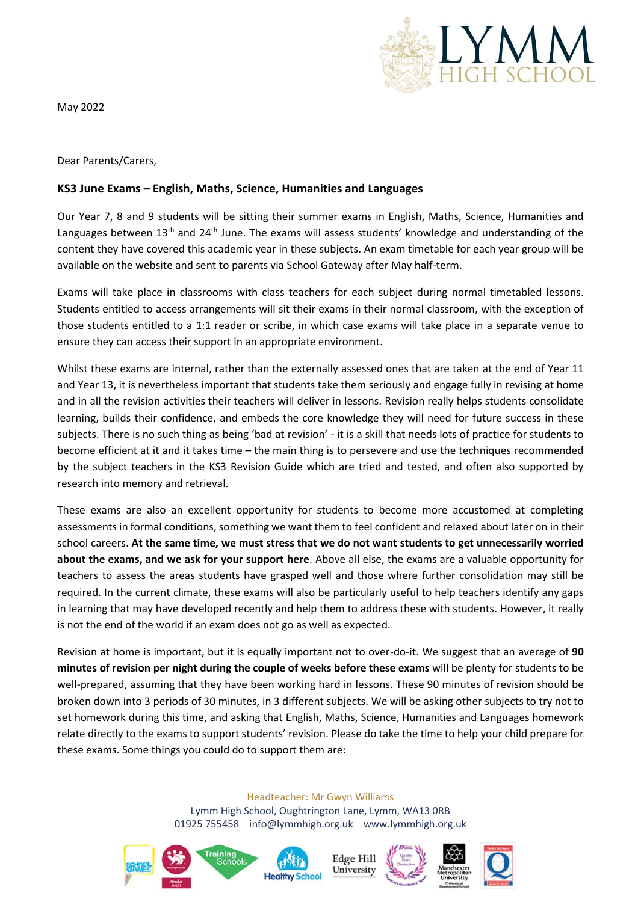

May 2022

Dear Parents/Carers,

## **KS3 June Exams – English, Maths, Science, Humanities and Languages**

Our Year 7, 8 and 9 students will be sitting their summer exams in English, Maths, Science, Humanities and Languages between 13<sup>th</sup> and 24<sup>th</sup> June. The exams will assess students' knowledge and understanding of the content they have covered this academic year in these subjects. An exam timetable for each year group will be available on the website and sent to parents via School Gateway after May half-term.

Exams will take place in classrooms with class teachers for each subject during normal timetabled lessons. Students entitled to access arrangements will sit their exams in their normal classroom, with the exception of those students entitled to a 1:1 reader or scribe, in which case exams will take place in a separate venue to ensure they can access their support in an appropriate environment.

Whilst these exams are internal, rather than the externally assessed ones that are taken at the end of Year 11 and Year 13, it is nevertheless important that students take them seriously and engage fully in revising at home and in all the revision activities their teachers will deliver in lessons. Revision really helps students consolidate learning, builds their confidence, and embeds the core knowledge they will need for future success in these subjects. There is no such thing as being 'bad at revision' - it is a skill that needs lots of practice for students to become efficient at it and it takes time – the main thing is to persevere and use the techniques recommended by the subject teachers in the KS3 Revision Guide which are tried and tested, and often also supported by research into memory and retrieval.

These exams are also an excellent opportunity for students to become more accustomed at completing assessments in formal conditions, something we want them to feel confident and relaxed about later on in their school careers. **At the same time, we must stress that we do not want students to get unnecessarily worried about the exams, and we ask for your support here**. Above all else, the exams are a valuable opportunity for teachers to assess the areas students have grasped well and those where further consolidation may still be required. In the current climate, these exams will also be particularly useful to help teachers identify any gaps in learning that may have developed recently and help them to address these with students. However, it really is not the end of the world if an exam does not go as well as expected.

Revision at home is important, but it is equally important not to over-do-it. We suggest that an average of **90 minutes of revision per night during the couple of weeks before these exams** will be plenty for students to be well-prepared, assuming that they have been working hard in lessons. These 90 minutes of revision should be broken down into 3 periods of 30 minutes, in 3 different subjects. We will be asking other subjects to try not to set homework during this time, and asking that English, Maths, Science, Humanities and Languages homework relate directly to the exams to support students' revision. Please do take the time to help your child prepare for these exams. Some things you could do to support them are:

Headteacher: Mr Gwyn Williams

Lymm High School, Oughtrington Lane, Lymm, WA13 0RB 01925 755458 info@lymmhigh.org.uk www.lymmhigh.org.uk